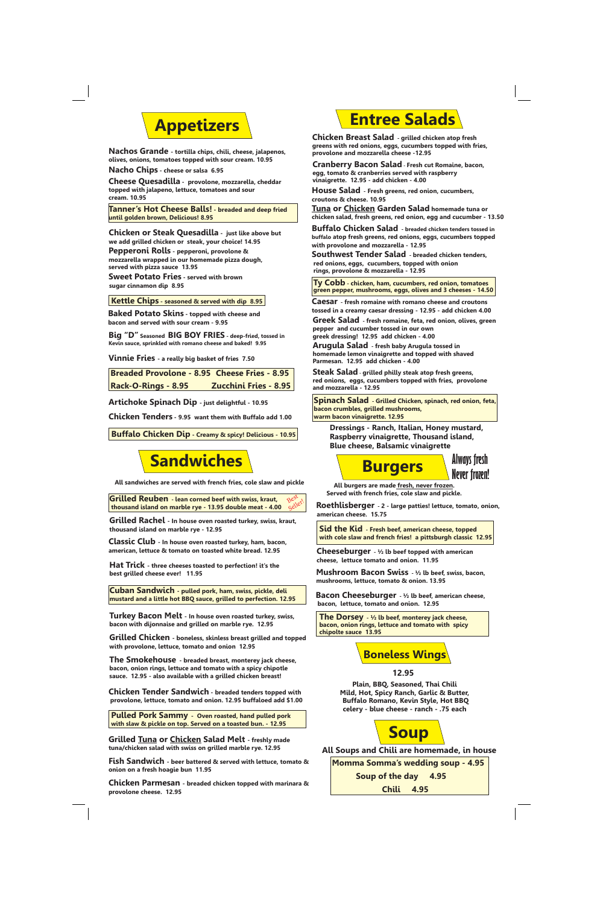## **Appetizers**

**Nachos Grande - tortilla chips, chili, cheese, jalapenos, olives, onions, tomatoes topped with sour cream. 10.95**

**Nacho Chips - cheese or salsa 6.95**

**Cheese Quesadilla - provolone, mozzarella, cheddar topped with jalapeno, lettuce, tomatoes and sour cream. 10.95** 

**Tanner's Hot Cheese Balls! - breaded and deep fried until golden brown, Delicious! 8.95**

**Chicken or Steak Quesadilla - just like above but we add grilled chicken or steak, your choice! 14.95 Pepperoni Rolls - pepperoni, provolone & mozzarella wrapped in our homemade pizza dough, served with pizza sauce 13.95 Sweet Potato Fries - served with brown sugar cinnamon dip 8.95**

**Kettle Chips - seasoned & served with dip 8.95**

**Baked Potato Skins - topped with cheese and bacon and served with sour cream - 9.95**

**Big "D" Seasoned BIG BOY FRIES - deep-fried, tossed in Kevin sauce, sprinkled with romano cheese and baked! 9.95**

**Vinnie Fries - a really big basket of fries 7.50**

| <b>Breaded Provolone - 8.95 Cheese Fries - 8.95</b> |                              |
|-----------------------------------------------------|------------------------------|
| <b>Rack-O-Rings - 8.95</b>                          | <b>Zucchini Fries - 8.95</b> |

**Artichoke Spinach Dip - just delightful - 10.95**

**Chicken Tenders - 9.95 want them with Buffalo add 1.00**

**Buffalo Chicken Dip - Creamy & spicy! Delicious - 10.95**

# **Sandwiches**

**All sandwiches are served with french fries, cole slaw and pickle**

**Grilled Reuben - lean corned beef with swiss, kraut, thousand island on marble rye - 13.95 double meat - 4.00** Best Beller!

**Grilled Rachel - In house oven roasted turkey, swiss, kraut, thousand island on marble rye - 12.95**

**Classic Club - In house oven roasted turkey, ham, bacon, american, lettuce & tomato on toasted white bread. 12.95**

**Hat Trick - three cheeses toasted to perfection! it's the best grilled cheese ever! 11.95**

**Cuban Sandwich - pulled pork, ham, swiss, pickle, deli mustard and a little hot BBQ sauce, grilled to perfection. 12.95**

**Turkey Bacon Melt - In house oven roasted turkey, swiss, bacon with dijonnaise and grilled on marble rye. 12.95**

**Grilled Chicken - boneless, skinless breast grilled and topped with provolone, lettuce, tomato and onion 12.95**

**The Smokehouse - breaded breast, monterey jack cheese, bacon, onion rings, lettuce and tomato with a spicy chipotle sauce. 12.95 - also available with a grilled chicken breast!**

**Chicken Tender Sandwich - breaded tenders topped with provolone, lettuce, tomato and onion. 12.95 buffaloed add \$1.00**

**Pulled Pork Sammy - Oven roasted, hand pulled pork with slaw & pickle on top. Served on a toasted bun. - 12.95**

**Grilled Tuna or Chicken Salad Melt - freshly made tuna/chicken salad with swiss on grilled marble rye. 12.95**

**Fish Sandwich - beer battered & served with lettuce, tomato & onion on a fresh hoagie bun 11.95**

**Chicken Parmesan - breaded chicken topped with marinara & provolone cheese. 12.95**

# **Entree Salads**

**Chicken Breast Salad - grilled chicken atop fresh greens with red onions, eggs, cucumbers topped with fries, provolone and mozzarella cheese -12.95**

**Cranberry Bacon Salad - Fresh cut Romaine, bacon, egg, tomato & cranberries served with raspberry vinaigrette. 12.95 - add chicken - 4.00**

**House Salad - Fresh greens, red onion, cucumbers, croutons & cheese. 10.95**

**Tuna or Chicken Garden Salad homemade tuna or chicken salad, fresh greens, red onion, egg and cucumber - 13.50** 

**Buffalo Chicken Salad - breaded chicken tenders tossed in buffalo atop fresh greens, red onions, eggs, cucumbers topped with provolone and mozzarella - 12.95**

**Southwest Tender Salad - breaded chicken tenders, red onions, eggs, cucumbers, topped with onion rings, provolone & mozzarella - 12.95**

**Ty Cobb - chicken, ham, cucumbers, red onion, tomatoes green pepper, mushrooms, eggs, olives and 3 cheeses - 14.50**

**Caesar - fresh romaine with romano cheese and croutons tossed in a creamy caesar dressing - 12.95 - add chicken 4.00**

**Greek Salad - fresh romaine, feta, red onion, olives, green pepper and cucumber tossed in our own**

**greek dressing! 12.95 add chicken - 4.00**

**Arugula Salad - fresh baby Arugula tossed in homemade lemon vinaigrette and topped with shaved Parmesan. 12.95 add chicken - 4.00**

**Steak Salad - grilled philly steak atop fresh greens, red onions, eggs, cucumbers topped with fries, provolone and mozzarella - 12.95**

 **Spinach Salad - Grilled Chicken, spinach, red onion, feta, bacon crumbles, grilled mushrooms, warm bacon vinaigrette. 12.95**

**Dressings - Ranch, Italian, Honey mustard, Raspberry vinaigrette, Thousand island, Blue cheese, Balsamic vinaigrette**

 **Burgers**



**All burgers are made fresh, never frozen. Served with french fries, cole slaw and pickle.**

**Roethlisberger - 2 - large patties! lettuce, tomato, onion, american cheese. 15.75**

**Sid the Kid - Fresh beef, american cheese, topped with cole slaw and french fries! a pittsburgh classic 12.95**

**Cheeseburger - ½ lb beef topped with american cheese, lettuce tomato and onion. 11.95**

**Mushroom Bacon Swiss - ½ lb beef, swiss, bacon, mushrooms, lettuce, tomato & onion. 13.95**

**Bacon Cheeseburger - ½ lb beef, american cheese, bacon, lettuce, tomato and onion. 12.95**

**The Dorsey - ½ lb beef, monterey jack cheese, bacon, onion rings, lettuce and tomato with spicy chipolte sauce 13.95**

### **Boneless Wings**



**Plain, BBQ, Seasoned, Thai Chili Mild, Hot, Spicy Ranch, Garlic & Butter, Buffalo Romano, Kevin Style, Hot BBQ celery - blue cheese - ranch - .75 each**



**All Soups and Chili are homemade, in house**

**Momma Somma's wedding soup - 4.95** 

**Soup of the day 4.95**

**Chili 4.95**